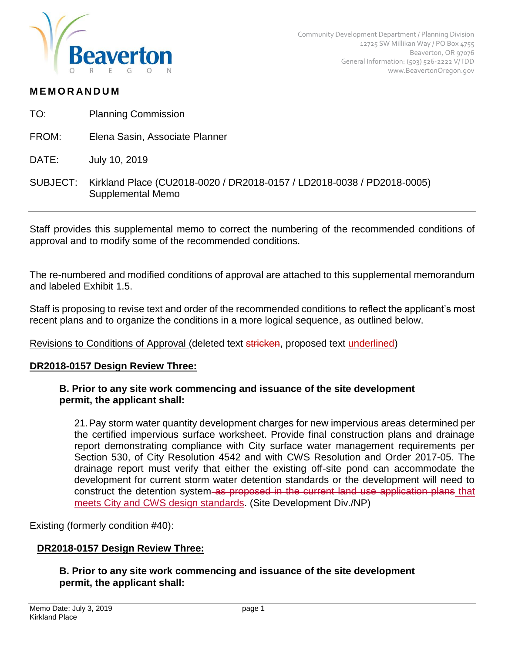

### **M E M O R AN D U M**

- TO: Planning Commission
- FROM: Elena Sasin, Associate Planner
- DATE: July 10, 2019
- SUBJECT: Kirkland Place (CU2018-0020 / DR2018-0157 / LD2018-0038 / PD2018-0005) Supplemental Memo

Staff provides this supplemental memo to correct the numbering of the recommended conditions of approval and to modify some of the recommended conditions.

The re-numbered and modified conditions of approval are attached to this supplemental memorandum and labeled Exhibit 1.5.

Staff is proposing to revise text and order of the recommended conditions to reflect the applicant's most recent plans and to organize the conditions in a more logical sequence, as outlined below.

Revisions to Conditions of Approval (deleted text stricken, proposed text underlined)

#### **DR2018-0157 Design Review Three:**

### **B. Prior to any site work commencing and issuance of the site development permit, the applicant shall:**

21.Pay storm water quantity development charges for new impervious areas determined per the certified impervious surface worksheet. Provide final construction plans and drainage report demonstrating compliance with City surface water management requirements per Section 530, of City Resolution 4542 and with CWS Resolution and Order 2017-05. The drainage report must verify that either the existing off-site pond can accommodate the development for current storm water detention standards or the development will need to construct the detention system as proposed in the current land use application plans that meets City and CWS design standards. (Site Development Div./NP)

Existing (formerly condition #40):

### **DR2018-0157 Design Review Three:**

### **B. Prior to any site work commencing and issuance of the site development permit, the applicant shall:**